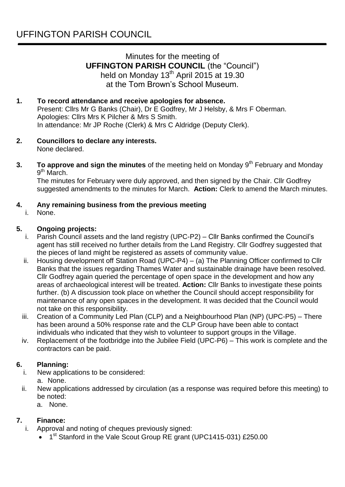# Minutes for the meeting of **UFFINGTON PARISH COUNCIL** (the "Council") held on Monday 13<sup>th</sup> April 2015 at 19.30 at the Tom Brown's School Museum.

## **1. To record attendance and receive apologies for absence.**

Present: Cllrs Mr G Banks (Chair), Dr E Godfrey, Mr J Helsby, & Mrs F Oberman. Apologies: Cllrs Mrs K Pilcher & Mrs S Smith. In attendance: Mr JP Roche (Clerk) & Mrs C Aldridge (Deputy Clerk).

- **2. Councillors to declare any interests.** None declared.
- **3. To approve and sign the minutes** of the meeting held on Monday 9<sup>th</sup> February and Monday 9<sup>th</sup> March.

The minutes for February were duly approved, and then signed by the Chair. Cllr Godfrey suggested amendments to the minutes for March. **Action:** Clerk to amend the March minutes.

### **4. Any remaining business from the previous meeting**

i. None.

### **5. Ongoing projects:**

- i. Parish Council assets and the land registry (UPC-P2) Cllr Banks confirmed the Council's agent has still received no further details from the Land Registry. Cllr Godfrey suggested that the pieces of land might be registered as assets of community value.
- ii. Housing development off Station Road (UPC-P4) (a) The Planning Officer confirmed to Cllr Banks that the issues regarding Thames Water and sustainable drainage have been resolved. Cllr Godfrey again queried the percentage of open space in the development and how any areas of archaeological interest will be treated. **Action:** Cllr Banks to investigate these points further. (b) A discussion took place on whether the Council should accept responsibility for maintenance of any open spaces in the development. It was decided that the Council would not take on this responsibility.
- iii. Creation of a Community Led Plan (CLP) and a Neighbourhood Plan (NP) (UPC-P5) There has been around a 50% response rate and the CLP Group have been able to contact individuals who indicated that they wish to volunteer to support groups in the Village.
- iv. Replacement of the footbridge into the Jubilee Field (UPC-P6) This work is complete and the contractors can be paid.

### **6. Planning:**

- i. New applications to be considered: a. None.
- ii. New applications addressed by circulation (as a response was required before this meeting) to be noted:
	- a. None.

### **7. Finance:**

- i. Approval and noting of cheques previously signed:
	- 1<sup>st</sup> Stanford in the Vale Scout Group RE grant (UPC1415-031) £250.00